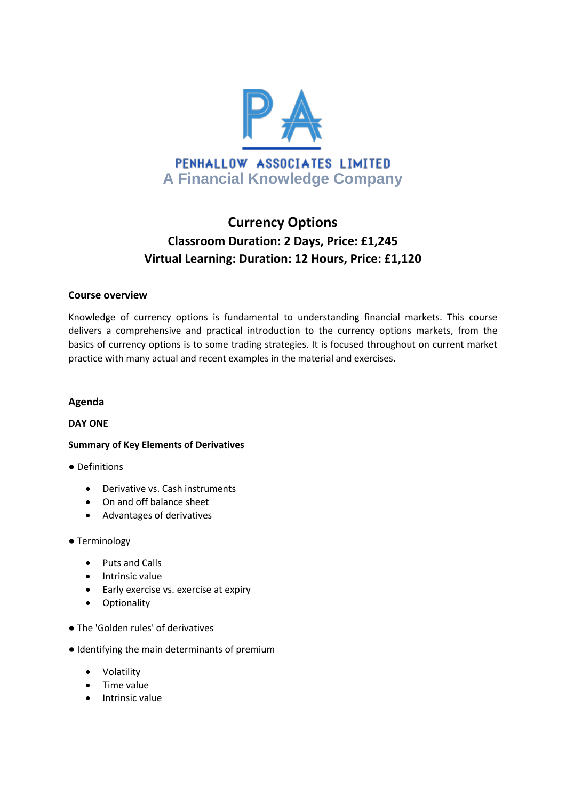

# **Currency Options Classroom Duration: 2 Days, Price: £1,245 Virtual Learning: Duration: 12 Hours, Price: £1,120**

## **Course overview**

Knowledge of currency options is fundamental to understanding financial markets. This course delivers a comprehensive and practical introduction to the currency options markets, from the basics of currency options is to some trading strategies. It is focused throughout on current market practice with many actual and recent examples in the material and exercises.

### **Agenda**

#### **DAY ONE**

#### **Summary of Key Elements of Derivatives**

#### ● Definitions

- Derivative vs. Cash instruments
- On and off balance sheet
- Advantages of derivatives

#### ● Terminology

- Puts and Calls
- Intrinsic value
- Early exercise vs. exercise at expiry
- **•** Optionality
- The 'Golden rules' of derivatives
- Identifying the main determinants of premium
	- Volatility
	- Time value
	- Intrinsic value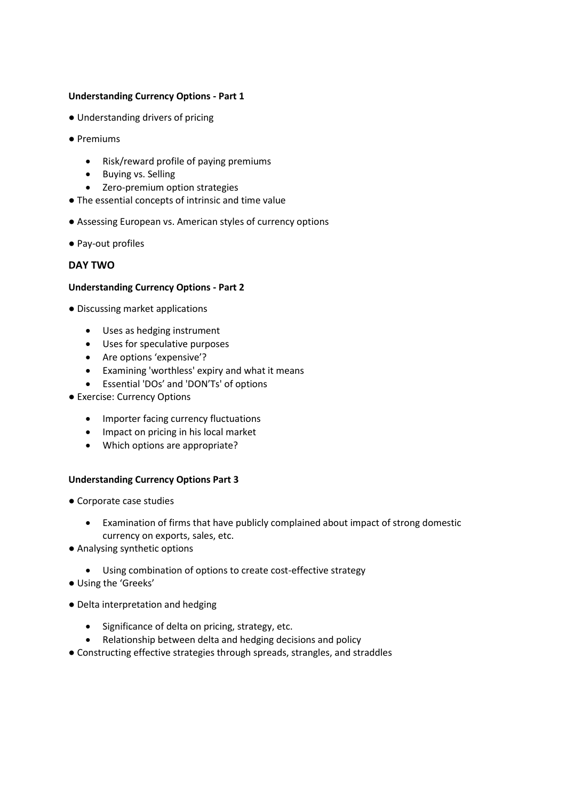## **Understanding Currency Options - Part 1**

- Understanding drivers of pricing
- Premiums
	- Risk/reward profile of paying premiums
	- Buying vs. Selling
	- Zero-premium option strategies
- The essential concepts of intrinsic and time value
- Assessing European vs. American styles of currency options
- Pay-out profiles

# **DAY TWO**

#### **Understanding Currency Options - Part 2**

- Discussing market applications
	- Uses as hedging instrument
	- Uses for speculative purposes
	- Are options 'expensive'?
	- Examining 'worthless' expiry and what it means
	- Essential 'DOs' and 'DON'Ts' of options
- Exercise: Currency Options
	- Importer facing currency fluctuations
	- Impact on pricing in his local market
	- Which options are appropriate?

#### **Understanding Currency Options Part 3**

- Corporate case studies
	- Examination of firms that have publicly complained about impact of strong domestic currency on exports, sales, etc.
- Analysing synthetic options
	- Using combination of options to create cost-effective strategy
- Using the 'Greeks'
- Delta interpretation and hedging
	- Significance of delta on pricing, strategy, etc.
	- Relationship between delta and hedging decisions and policy
- Constructing effective strategies through spreads, strangles, and straddles